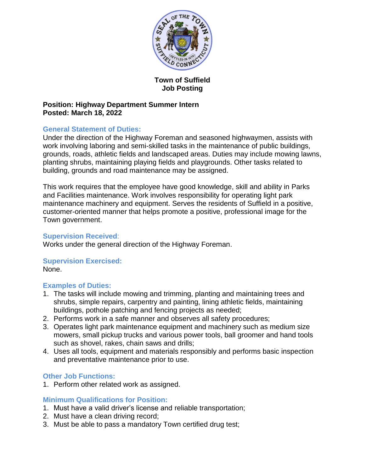

# **Town of Suffield Job Posting**

## **Position: Highway Department Summer Intern Posted: March 18, 2022**

## **General Statement of Duties:**

Under the direction of the Highway Foreman and seasoned highwaymen, assists with work involving laboring and semi-skilled tasks in the maintenance of public buildings, grounds, roads, athletic fields and landscaped areas. Duties may include mowing lawns, planting shrubs, maintaining playing fields and playgrounds. Other tasks related to building, grounds and road maintenance may be assigned.

This work requires that the employee have good knowledge, skill and ability in Parks and Facilities maintenance. Work involves responsibility for operating light park maintenance machinery and equipment. Serves the residents of Suffield in a positive, customer-oriented manner that helps promote a positive, professional image for the Town government.

## **Supervision Received**:

Works under the general direction of the Highway Foreman.

# **Supervision Exercised:**

None.

# **Examples of Duties:**

- 1. The tasks will include mowing and trimming, planting and maintaining trees and shrubs, simple repairs, carpentry and painting, lining athletic fields, maintaining buildings, pothole patching and fencing projects as needed;
- 2. Performs work in a safe manner and observes all safety procedures;
- 3. Operates light park maintenance equipment and machinery such as medium size mowers, small pickup trucks and various power tools, ball groomer and hand tools such as shovel, rakes, chain saws and drills;
- 4. Uses all tools, equipment and materials responsibly and performs basic inspection and preventative maintenance prior to use.

# **Other Job Functions:**

1. Perform other related work as assigned.

# **Minimum Qualifications for Position:**

- 1. Must have a valid driver's license and reliable transportation;
- 2. Must have a clean driving record;
- 3. Must be able to pass a mandatory Town certified drug test;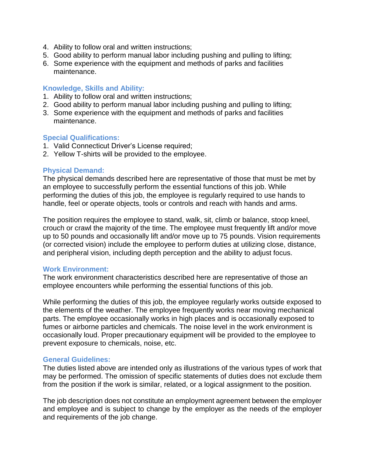- 4. Ability to follow oral and written instructions;
- 5. Good ability to perform manual labor including pushing and pulling to lifting;
- 6. Some experience with the equipment and methods of parks and facilities maintenance.

## **Knowledge, Skills and Ability:**

- 1. Ability to follow oral and written instructions;
- 2. Good ability to perform manual labor including pushing and pulling to lifting;
- 3. Some experience with the equipment and methods of parks and facilities maintenance.

## **Special Qualifications:**

- 1. Valid Connecticut Driver's License required;
- 2. Yellow T-shirts will be provided to the employee.

## **Physical Demand:**

The physical demands described here are representative of those that must be met by an employee to successfully perform the essential functions of this job. While performing the duties of this job, the employee is regularly required to use hands to handle, feel or operate objects, tools or controls and reach with hands and arms.

The position requires the employee to stand, walk, sit, climb or balance, stoop kneel, crouch or crawl the majority of the time. The employee must frequently lift and/or move up to 50 pounds and occasionally lift and/or move up to 75 pounds. Vision requirements (or corrected vision) include the employee to perform duties at utilizing close, distance, and peripheral vision, including depth perception and the ability to adjust focus.

### **Work Environment:**

The work environment characteristics described here are representative of those an employee encounters while performing the essential functions of this job.

While performing the duties of this job, the employee regularly works outside exposed to the elements of the weather. The employee frequently works near moving mechanical parts. The employee occasionally works in high places and is occasionally exposed to fumes or airborne particles and chemicals. The noise level in the work environment is occasionally loud. Proper precautionary equipment will be provided to the employee to prevent exposure to chemicals, noise, etc.

### **General Guidelines:**

The duties listed above are intended only as illustrations of the various types of work that may be performed. The omission of specific statements of duties does not exclude them from the position if the work is similar, related, or a logical assignment to the position.

The job description does not constitute an employment agreement between the employer and employee and is subject to change by the employer as the needs of the employer and requirements of the job change.